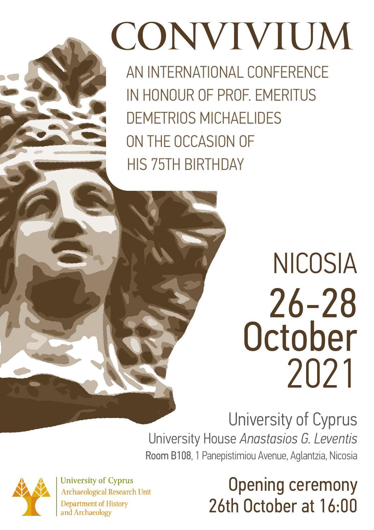# CONVIVIUM

AN INTERNATIONAL CONFERENCE IN HONOUR OF PROF. EMERITUS DEMETRIOS MICHAELIDES ON THE OCCASION OF HIS 75TH BIRTHDAY

## NICOSIA 26-28 **October** 2021

University of Cyprus University House *Anastasios G. Leventis*  Room B108, 1 Panepistimiou Avenue, Aglantzia, Nicosia



**University of Cyprus Archaeological Research Unit Department of History** and Archaeology

## Opening ceremony 26th October at 16:00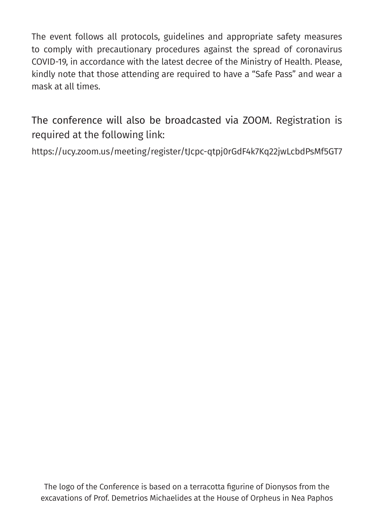The event follows all protocols, guidelines and appropriate safety measures to comply with precautionary procedures against the spread of coronavirus COVID-19, in accordance with the latest decree of the Ministry of Health. Please, kindly note that those attending are required to have a "Safe Pass" and wear a mask at all times.

The conference will also be broadcasted via ZOOM. Registration is required at the following link:

https://ucy.zoom.us/meeting/register/tJcpc-qtpj0rGdF4k7Kq22jwLcbdPsMf5GT7

The logo of the Conference is based on a terracotta figurine of Dionysos from the excavations of Prof. Demetrios Michaelides at the House of Orpheus in Nea Paphos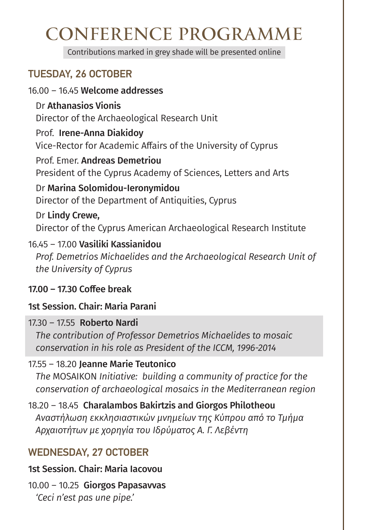### CONFERENCE PROGRAMME

Contributions marked in grey shade will be presented online

#### TUESDAY, 26 OCTOBER

#### 16.00 – 16.45 Welcome addresses

Dr Athanasios Vionis

Director of the Archaeological Research Unit

#### Prof. Irene-Anna Diakidoy

Vice-Rector for Academic Affairs of the University of Cyprus

Prof. Emer. Andreas Demetriou President of the Cyprus Academy of Sciences, Letters and Arts

Dr Marina Solomidou-Ieronymidou Director of the Department of Antiquities, Cyprus

Dr Lindy Crewe, Director of the Cyprus American Archaeological Research Institute

#### 16.45 – 17.00 Vasiliki Kassianidou

*Prof. Demetrios Michaelides and the Archaeological Research Unit of the University of Cyprus*

#### 17.00 – 17.30 Coffee break

#### 1st Session. Chair: Maria Parani

#### 17.30 – 17.55 Roberto Nardi

*The contribution of Professor Demetrios Michaelides to mosaic conservation in his role as President of the ICCM, 1996-2014*

#### 17.55 – 18.20 Jeanne Marie Teutonico

*The* MOSAIKON *Initiative: building a community of practice for the conservation of archaeological mosaics in the Mediterranean region*

18.20 – 18.45 Charalambos Bakirtzis and Giorgos Philotheou  *Αναστήλωση εκκλησιαστικών μνημείων της Κύπρου από το Τμήμα Αρχαιοτήτων με χορηγία του Ιδρύματος Α. Γ. Λεβέντη*

#### WEDNESDAY, 27 OCTOBER

1st Session. Chair: Maria Iacovou

10.00 – 10.25 Giorgos Papasavvas *'Ceci n'est pas une pipe.'*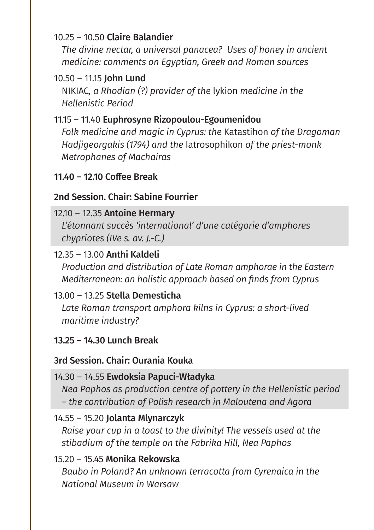#### 10.25 – 10.50 Claire Balandier

*The divine nectar, a universal panacea? Uses of honey in ancient medicine: comments on Egyptian, Greek and Roman sources*

#### 10.50 – 11.15 John Lund

NIKIAC*, a Rhodian (?) provider of the* lykion *medicine in the Hellenistic Period*

#### 11.15 – 11.40 Euphrosyne Rizopoulou-Egoumenidou

*Folk medicine and magic in Cyprus: the* Katastihon *of the Dragoman Hadjigeorgakis (1794) and the* Ιatrosophikon *of the priest-monk Metrophanes of Machairas*

#### 11.40 – 12.10 Coffee Break

#### 2nd Session. Chair: Sabine Fourrier

#### 12.10 – 12.35 Antoine Hermary

*L'étonnant succès 'international' d'une catégorie d'amphores chypriotes (IVe s. av. J.-C.)*

#### 12.35 – 13.00 Anthi Kaldeli

*Production and distribution of Late Roman amphorae in the Eastern Mediterranean: an holistic approach based on finds from Cyprus*

#### 13.00 – 13.25 Stella Demesticha

*Late Roman transport amphora kilns in Cyprus: a short-lived maritime industry?*

#### 13.25 – 14.30 Lunch Break

#### 3rd Session. Chair: Ourania Kouka

#### 14.30 – 14.55 Ewdoksia Papuci-Władyka

*Nea Paphos as production centre of pottery in the Hellenistic period – the contribution of Polish research in Maloutena and Agora*

#### 14.55 – 15.20 Jolanta Mlynarczyk

*Raise your cup in a toast to the divinity! The vessels used at the stibadium of the temple on the Fabrika Hill, Nea Paphos*

#### 15.20 – 15.45 Monika Rekowska

*Baubo in Poland? An unknown terracotta from Cyrenaica in the National Museum in Warsaw*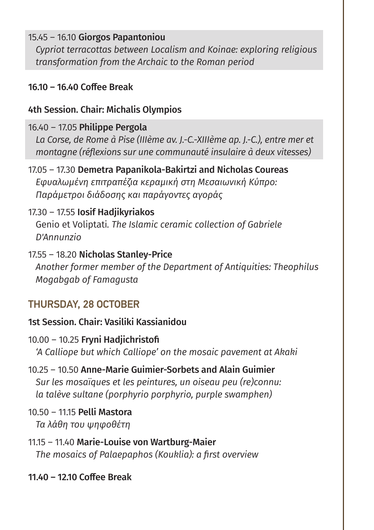#### 15.45 – 16.10 Giorgos Papantoniou

*Cypriot terracottas between Localism and Koinae: exploring religious transformation from the Archaic to the Roman period*

#### 16.10 – 16.40 Coffee Break

#### 4th Session. Chair: Michalis Olympios

#### 16.40 – 17.05 Philippe Pergola

*La Corse, de Rome à Pise (IIIème av. J.-C.-XIIIème ap. J.-C.), entre mer et montagne (réflexions sur une communauté insulaire à deux vitesses)*

#### 17.05 – 17.30 Demetra Papanikola-Bakirtzi and Nicholas Coureas  *Εφυαλωμένη επιτραπέζια κεραμική στη Μεσαιωνική Κύπρο: Παράμετροι διάδοσης και παράγοντες αγοράς*

#### 17.30 – 17.55 Iosif Hadjikyriakos

Genio et Voliptati*. The Islamic ceramic collection of Gabriele D'Annunzio*

#### 17.55 – 18.20 Nicholas Stanley-Price

*Another former member of the Department of Antiquities: Theophilus Mogabgab of Famagusta*

#### THURSDAY, 28 OCTOBER

#### 1st Session. Chair: Vasiliki Kassianidou

- 10.00 10.25 Fryni Hadjichristofi *'A Calliope but which Calliope' on the mosaic pavement at Akaki*
- 10.25 10.50 Anne-Marie Guimier-Sorbets and Alain Guimier *Sur les mosaïques et les peintures, un oiseau peu (re)connu: la talève sultane (porphyrio porphyrio, purple swamphen)*

#### 10.50 – 11.15 Pelli Mastora  *Τα λάθη του ψηφοθέτη*

11.15 – 11.40 Marie-Louise von Wartburg-Maier  *The mosaics of Palaepaphos (Kouklia): a first overview*

#### 11.40 – 12.10 Coffee Break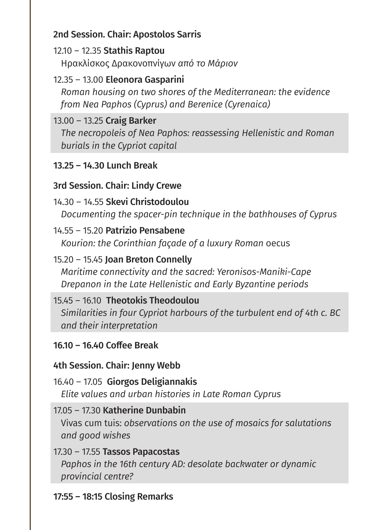#### 2nd Session. Chair: Apostolos Sarris

#### 12.10 – 12.35 Stathis Raptou

Ηρακλίσκος Δρακονοπνίγων *από το Μάριον*

#### 12.35 – 13.00 Eleonora Gasparini

*Roman housing on two shores of the Mediterranean: the evidence from Nea Paphos (Cyprus) and Berenice (Cyrenaica)*

#### 13.00 – 13.25 Craig Barker

*The necropoleis of Nea Paphos: reassessing Hellenistic and Roman burials in the Cypriot capital*

#### 13.25 – 14.30 Lunch Break

#### 3rd Session. Chair: Lindy Crewe

#### 14.30 – 14.55 Skevi Christodoulou

*Documenting the spacer-pin technique in the bathhouses of Cyprus*

#### 14.55 – 15.20 Patrizio Pensabene

*Kourion: the Corinthian façade of a luxury Roman* oecus

#### 15.20 – 15.45 Joan Breton Connelly

*Maritime connectivity and the sacred: Yeronisos-Maniki-Cape Drepanon in the Late Hellenistic and Early Byzantine periods*

#### 15.45 – 16.10 Theotokis Theodoulou

*Similarities in four Cypriot harbours of the turbulent end of 4th c. BC and their interpretation*

#### 16.10 – 16.40 Coffee Break

#### 4th Session. Chair: Jenny Webb

16.40 – 17.05 Giorgos Deligiannakis *Elite values and urban histories in Late Roman Cyprus*

#### 17.05 – 17.30 Katherine Dunbabin

Vivas cum tuis: *observations on the use of mosaics for salutations and good wishes*

#### 17.30 – 17.55 Tassos Papacostas

*Paphos in the 16th century AD: desolate backwater or dynamic provincial centre?*

#### 17:55 – 18:15 Closing Remarks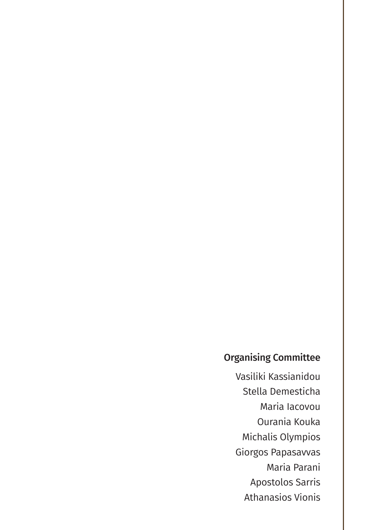#### Organising Committee

Vasiliki Kassianidou Stella Demesticha Maria Iacovou Ourania Kouka Michalis Olympios Giorgos Papasavvas Maria Parani Apostolos Sarris Athanasios Vionis